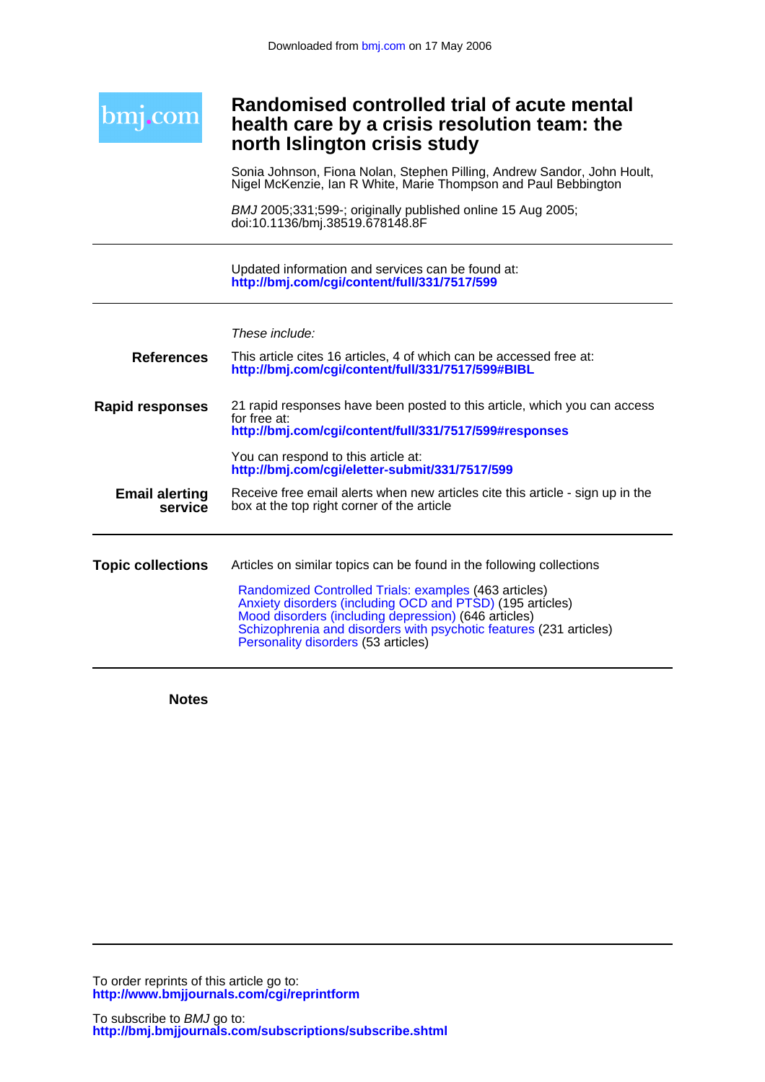## bmj.com

### **north Islington crisis study health care by a crisis resolution team: the Randomised controlled trial of acute mental**

Nigel McKenzie, Ian R White, Marie Thompson and Paul Bebbington Sonia Johnson, Fiona Nolan, Stephen Pilling, Andrew Sandor, John Hoult,

doi:10.1136/bmj.38519.678148.8F BMJ 2005;331;599-; originally published online 15 Aug 2005;

**<http://bmj.com/cgi/content/full/331/7517/599>** Updated information and services can be found at:

| These include: |
|----------------|
|----------------|

| <b>References</b>                | This article cites 16 articles, 4 of which can be accessed free at:<br>http://bmj.com/cgi/content/full/331/7517/599#BIBL                                                                                                                                                                |  |  |  |
|----------------------------------|-----------------------------------------------------------------------------------------------------------------------------------------------------------------------------------------------------------------------------------------------------------------------------------------|--|--|--|
| Rapid responses                  | 21 rapid responses have been posted to this article, which you can access<br>for free at:<br>http://bmj.com/cgi/content/full/331/7517/599#responses                                                                                                                                     |  |  |  |
|                                  | You can respond to this article at:<br>http://bmj.com/cgi/eletter-submit/331/7517/599                                                                                                                                                                                                   |  |  |  |
| <b>Email alerting</b><br>service | Receive free email alerts when new articles cite this article - sign up in the<br>box at the top right corner of the article                                                                                                                                                            |  |  |  |
| <b>Topic collections</b>         | Articles on similar topics can be found in the following collections                                                                                                                                                                                                                    |  |  |  |
|                                  | Randomized Controlled Trials: examples (463 articles)<br>Anxiety disorders (including OCD and PTSD) (195 articles)<br>Mood disorders (including depression) (646 articles)<br>Schizophrenia and disorders with psychotic features (231 articles)<br>Personality disorders (53 articles) |  |  |  |

**Notes**

**<http://www.bmjjournals.com/cgi/reprintform>** To order reprints of this article go to: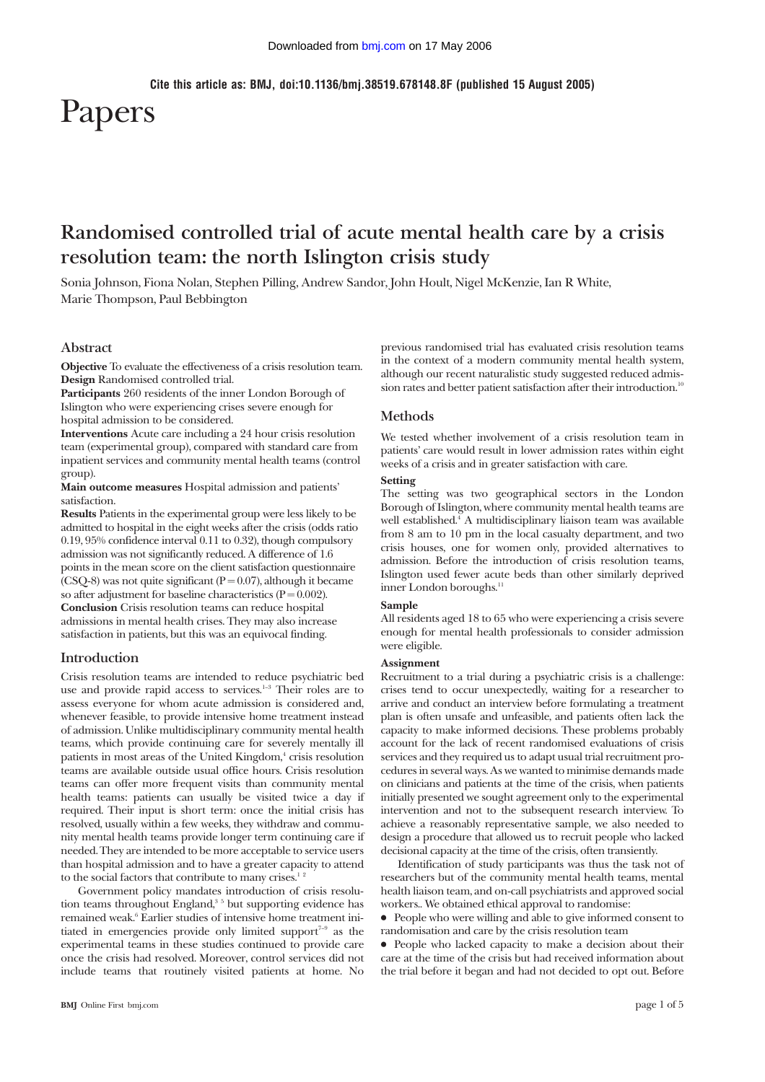**Cite this article as: BMJ, doi:10.1136/bmj.38519.678148.8F (published 15 August 2005)**

# Papers

## **Randomised controlled trial of acute mental health care by a crisis resolution team: the north Islington crisis study**

Sonia Johnson, Fiona Nolan, Stephen Pilling, Andrew Sandor, John Hoult, Nigel McKenzie, Ian R White, Marie Thompson, Paul Bebbington

#### **Abstract**

**Objective** To evaluate the effectiveness of a crisis resolution team. **Design** Randomised controlled trial.

**Participants** 260 residents of the inner London Borough of Islington who were experiencing crises severe enough for hospital admission to be considered.

**Interventions** Acute care including a 24 hour crisis resolution team (experimental group), compared with standard care from inpatient services and community mental health teams (control group).

**Main outcome measures** Hospital admission and patients' satisfaction.

**Results** Patients in the experimental group were less likely to be admitted to hospital in the eight weeks after the crisis (odds ratio 0.19, 95% confidence interval 0.11 to 0.32), though compulsory admission was not significantly reduced. A difference of 1.6 points in the mean score on the client satisfaction questionnaire  $(CSQ-8)$  was not quite significant  $(P = 0.07)$ , although it became so after adjustment for baseline characteristics ( $P = 0.002$ ). **Conclusion** Crisis resolution teams can reduce hospital admissions in mental health crises. They may also increase satisfaction in patients, but this was an equivocal finding.

#### **Introduction**

Crisis resolution teams are intended to reduce psychiatric bed use and provide rapid access to services.<sup>1-3</sup> Their roles are to assess everyone for whom acute admission is considered and, whenever feasible, to provide intensive home treatment instead of admission. Unlike multidisciplinary community mental health teams, which provide continuing care for severely mentally ill patients in most areas of the United Kingdom,<sup>4</sup> crisis resolution teams are available outside usual office hours. Crisis resolution teams can offer more frequent visits than community mental health teams: patients can usually be visited twice a day if required. Their input is short term: once the initial crisis has resolved, usually within a few weeks, they withdraw and community mental health teams provide longer term continuing care if needed. They are intended to be more acceptable to service users than hospital admission and to have a greater capacity to attend to the social factors that contribute to many crises.<sup>12</sup>

Government policy mandates introduction of crisis resolution teams throughout England,<sup>35</sup> but supporting evidence has remained weak.<sup>6</sup> Earlier studies of intensive home treatment initiated in emergencies provide only limited support<sup> $7-9$ </sup> as the experimental teams in these studies continued to provide care once the crisis had resolved. Moreover, control services did not include teams that routinely visited patients at home. No previous randomised trial has evaluated crisis resolution teams in the context of a modern community mental health system, although our recent naturalistic study suggested reduced admission rates and better patient satisfaction after their introduction.<sup>10</sup>

#### **Methods**

We tested whether involvement of a crisis resolution team in patients' care would result in lower admission rates within eight weeks of a crisis and in greater satisfaction with care.

#### **Setting**

The setting was two geographical sectors in the London Borough of Islington, where community mental health teams are well established.<sup>4</sup> A multidisciplinary liaison team was available from 8 am to 10 pm in the local casualty department, and two crisis houses, one for women only, provided alternatives to admission. Before the introduction of crisis resolution teams, Islington used fewer acute beds than other similarly deprived inner London boroughs.<sup>11</sup>

#### **Sample**

All residents aged 18 to 65 who were experiencing a crisis severe enough for mental health professionals to consider admission were eligible.

#### **Assignment**

Recruitment to a trial during a psychiatric crisis is a challenge: crises tend to occur unexpectedly, waiting for a researcher to arrive and conduct an interview before formulating a treatment plan is often unsafe and unfeasible, and patients often lack the capacity to make informed decisions. These problems probably account for the lack of recent randomised evaluations of crisis services and they required us to adapt usual trial recruitment procedures in several ways. As we wanted to minimise demands made on clinicians and patients at the time of the crisis, when patients initially presented we sought agreement only to the experimental intervention and not to the subsequent research interview. To achieve a reasonably representative sample, we also needed to design a procedure that allowed us to recruit people who lacked decisional capacity at the time of the crisis, often transiently.

Identification of study participants was thus the task not of researchers but of the community mental health teams, mental health liaison team, and on-call psychiatrists and approved social workers.. We obtained ethical approval to randomise:

• People who were willing and able to give informed consent to randomisation and care by the crisis resolution team

• People who lacked capacity to make a decision about their care at the time of the crisis but had received information about the trial before it began and had not decided to opt out. Before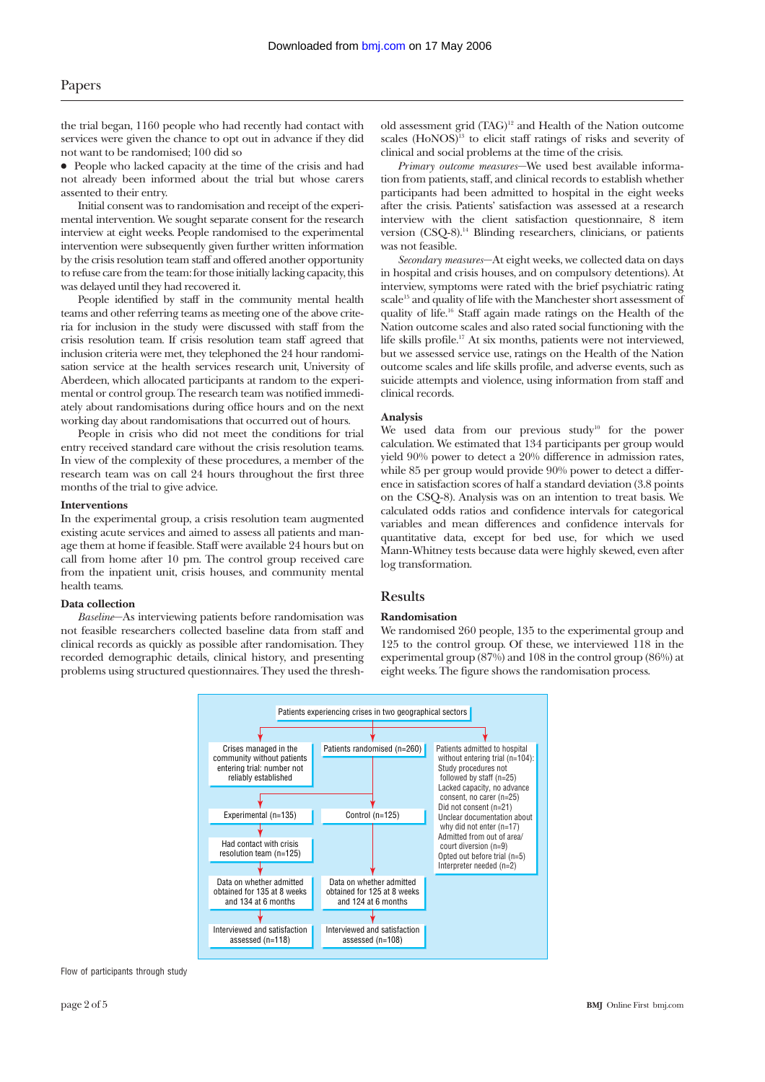the trial began, 1160 people who had recently had contact with services were given the chance to opt out in advance if they did not want to be randomised; 100 did so

• People who lacked capacity at the time of the crisis and had not already been informed about the trial but whose carers assented to their entry.

Initial consent was to randomisation and receipt of the experimental intervention. We sought separate consent for the research interview at eight weeks. People randomised to the experimental intervention were subsequently given further written information by the crisis resolution team staff and offered another opportunity to refuse care from the team: for those initially lacking capacity, this was delayed until they had recovered it.

People identified by staff in the community mental health teams and other referring teams as meeting one of the above criteria for inclusion in the study were discussed with staff from the crisis resolution team. If crisis resolution team staff agreed that inclusion criteria were met, they telephoned the 24 hour randomisation service at the health services research unit, University of Aberdeen, which allocated participants at random to the experimental or control group. The research team was notified immediately about randomisations during office hours and on the next working day about randomisations that occurred out of hours.

People in crisis who did not meet the conditions for trial entry received standard care without the crisis resolution teams. In view of the complexity of these procedures, a member of the research team was on call 24 hours throughout the first three months of the trial to give advice.

#### **Interventions**

In the experimental group, a crisis resolution team augmented existing acute services and aimed to assess all patients and manage them at home if feasible. Staff were available 24 hours but on call from home after 10 pm. The control group received care from the inpatient unit, crisis houses, and community mental health teams.

#### **Data collection**

*Baseline*—As interviewing patients before randomisation was not feasible researchers collected baseline data from staff and clinical records as quickly as possible after randomisation. They recorded demographic details, clinical history, and presenting problems using structured questionnaires. They used the threshold assessment grid  $(TAG)^{12}$  and Health of the Nation outcome scales  $(HoNOS)^{13}$  to elicit staff ratings of risks and severity of clinical and social problems at the time of the crisis.

*Primary outcome measures*—We used best available information from patients, staff, and clinical records to establish whether participants had been admitted to hospital in the eight weeks after the crisis. Patients' satisfaction was assessed at a research interview with the client satisfaction questionnaire, 8 item version (CSQ-8).14 Blinding researchers, clinicians, or patients was not feasible.

*Secondary measures*—At eight weeks, we collected data on days in hospital and crisis houses, and on compulsory detentions). At interview, symptoms were rated with the brief psychiatric rating scale<sup>15</sup> and quality of life with the Manchester short assessment of quality of life.16 Staff again made ratings on the Health of the Nation outcome scales and also rated social functioning with the life skills profile.<sup>17</sup> At six months, patients were not interviewed, but we assessed service use, ratings on the Health of the Nation outcome scales and life skills profile, and adverse events, such as suicide attempts and violence, using information from staff and clinical records.

#### **Analysis**

We used data from our previous study<sup>10</sup> for the power calculation. We estimated that 134 participants per group would yield 90% power to detect a 20% difference in admission rates, while 85 per group would provide 90% power to detect a difference in satisfaction scores of half a standard deviation (3.8 points on the CSQ-8). Analysis was on an intention to treat basis. We calculated odds ratios and confidence intervals for categorical variables and mean differences and confidence intervals for quantitative data, except for bed use, for which we used Mann-Whitney tests because data were highly skewed, even after log transformation.

#### **Results**

#### **Randomisation**

We randomised 260 people, 135 to the experimental group and 125 to the control group. Of these, we interviewed 118 in the experimental group  $(87\%)$  and 108 in the control group  $(86\%)$  at eight weeks. The figure shows the randomisation process.



Flow of participants through study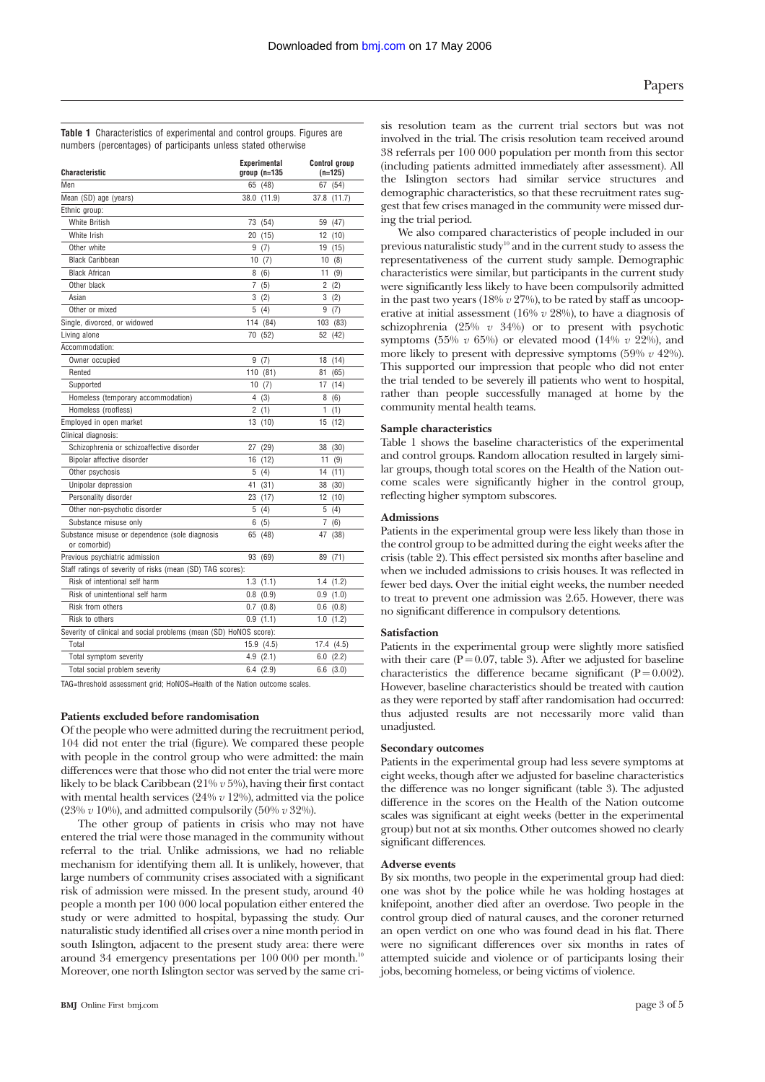**Table 1** Characteristics of experimental and control groups. Figures are numbers (percentages) of participants unless stated otherwise

| <b>Characteristic</b>                                             |                | <b>Experimental</b><br>group (n=135 | <b>Control group</b><br>(n=125) |
|-------------------------------------------------------------------|----------------|-------------------------------------|---------------------------------|
| Men                                                               |                | 65 (48)                             | 67 (54)                         |
| Mean (SD) age (years)                                             |                | 38.0 (11.9)                         | 37.8 (11.7)                     |
| Ethnic group:                                                     |                |                                     |                                 |
| White British                                                     |                |                                     |                                 |
|                                                                   |                | 73 (54)                             | 59 (47)                         |
| White Irish                                                       |                | 20 (15)                             | 12 (10)                         |
| Other white                                                       |                | 9(7)                                | 19 (15)                         |
| <b>Black Caribbean</b>                                            |                | 10(7)                               | 10(8)                           |
| <b>Black African</b>                                              |                | 8(6)                                | 11(9)                           |
| Other black                                                       | $\overline{7}$ | (5)                                 | 2(2)                            |
| Asian                                                             | 3              | (2)                                 | 3<br>(2)                        |
| Other or mixed                                                    |                | 5(4)                                | 9(7)                            |
| Single, divorced, or widowed                                      |                | 114 (84)                            | 103 (83)                        |
| Living alone                                                      |                | 70 (52)                             | 52 (42)                         |
| Accommodation:                                                    |                |                                     |                                 |
| Owner occupied                                                    |                | 9(7)                                | 18 (14)                         |
| Rented                                                            |                | 110 (81)                            | 81 (65)                         |
| Supported                                                         |                | 10(7)                               | 17 (14)                         |
| Homeless (temporary accommodation)                                |                | 4(3)                                | 8(6)                            |
| Homeless (roofless)                                               |                | 2(1)                                | 1(1)                            |
| Employed in open market                                           |                | 13 (10)                             | 15 (12)                         |
| Clinical diagnosis:                                               |                |                                     |                                 |
| Schizophrenia or schizoaffective disorder                         |                | 27 (29)                             | 38 (30)                         |
| Bipolar affective disorder                                        |                | 16 (12)                             | 11(9)                           |
| Other psychosis                                                   |                | 5(4)                                | 14 (11)                         |
| Unipolar depression                                               |                | 41 (31)                             | 38 (30)                         |
| Personality disorder                                              |                | 23 (17)                             | 12 (10)                         |
| Other non-psychotic disorder                                      |                | 5(4)                                | 5(4)                            |
| Substance misuse only                                             |                | 6(5)                                | 7<br>(6)                        |
| Substance misuse or dependence (sole diagnosis<br>or comorbid)    |                | 65 (48)                             | 47 (38)                         |
| Previous psychiatric admission                                    |                | 93 (69)                             | 89 (71)                         |
| Staff ratings of severity of risks (mean (SD) TAG scores):        |                |                                     |                                 |
| Risk of intentional self harm                                     |                | 1.3(1.1)                            | 1.4(1.2)                        |
| Risk of unintentional self harm                                   |                | $0.8$ $(0.9)$                       | 0.9(1.0)                        |
| Risk from others                                                  |                | $0.7$ $(0.8)$                       | $0.6$ $(0.8)$                   |
| Risk to others                                                    |                | 0.9(1.1)                            | 1.0(1.2)                        |
| Severity of clinical and social problems (mean (SD) HoNOS score): |                |                                     |                                 |
| Total                                                             |                | 15.9 (4.5)                          | 17.4 (4.5)                      |
| Total symptom severity                                            |                | $4.9$ $(2.1)$                       | $6.0$ $(2.2)$                   |
| Total social problem severity                                     |                | 6.4(2.9)                            | $6.6$ $(3.0)$                   |

TAG=threshold assessment grid; HoNOS=Health of the Nation outcome scales.

#### **Patients excluded before randomisation**

Of the people who were admitted during the recruitment period, 104 did not enter the trial (figure). We compared these people with people in the control group who were admitted: the main differences were that those who did not enter the trial were more likely to be black Caribbean (21% *v* 5%), having their first contact with mental health services (24% *v* 12%), admitted via the police (23%  $v$  10%), and admitted compulsorily (50%  $v$  32%).

The other group of patients in crisis who may not have entered the trial were those managed in the community without referral to the trial. Unlike admissions, we had no reliable mechanism for identifying them all. It is unlikely, however, that large numbers of community crises associated with a significant risk of admission were missed. In the present study, around 40 people a month per 100 000 local population either entered the study or were admitted to hospital, bypassing the study. Our naturalistic study identified all crises over a nine month period in south Islington, adjacent to the present study area: there were around 34 emergency presentations per 100 000 per month.<sup>10</sup> Moreover, one north Islington sector was served by the same crisis resolution team as the current trial sectors but was not involved in the trial. The crisis resolution team received around 38 referrals per 100 000 population per month from this sector (including patients admitted immediately after assessment). All the Islington sectors had similar service structures and demographic characteristics, so that these recruitment rates suggest that few crises managed in the community were missed during the trial period.

We also compared characteristics of people included in our previous naturalistic study<sup>10</sup> and in the current study to assess the representativeness of the current study sample. Demographic characteristics were similar, but participants in the current study were significantly less likely to have been compulsorily admitted in the past two years ( $18\% v 27\%$ ), to be rated by staff as uncooperative at initial assessment (16% *v* 28%), to have a diagnosis of schizophrenia (25% *v* 34%) or to present with psychotic symptoms (55% *v* 65%) or elevated mood (14% *v* 22%), and more likely to present with depressive symptoms (59% *v* 42%). This supported our impression that people who did not enter the trial tended to be severely ill patients who went to hospital, rather than people successfully managed at home by the community mental health teams.

#### **Sample characteristics**

Table 1 shows the baseline characteristics of the experimental and control groups. Random allocation resulted in largely similar groups, though total scores on the Health of the Nation outcome scales were significantly higher in the control group, reflecting higher symptom subscores.

#### **Admissions**

Patients in the experimental group were less likely than those in the control group to be admitted during the eight weeks after the crisis (table 2). This effect persisted six months after baseline and when we included admissions to crisis houses. It was reflected in fewer bed days. Over the initial eight weeks, the number needed to treat to prevent one admission was 2.65. However, there was no significant difference in compulsory detentions.

#### **Satisfaction**

Patients in the experimental group were slightly more satisfied with their care  $(P = 0.07$ , table 3). After we adjusted for baseline characteristics the difference became significant  $(P = 0.002)$ . However, baseline characteristics should be treated with caution as they were reported by staff after randomisation had occurred: thus adjusted results are not necessarily more valid than unadjusted.

#### **Secondary outcomes**

Patients in the experimental group had less severe symptoms at eight weeks, though after we adjusted for baseline characteristics the difference was no longer significant (table 3). The adjusted difference in the scores on the Health of the Nation outcome scales was significant at eight weeks (better in the experimental group) but not at six months. Other outcomes showed no clearly significant differences.

#### **Adverse events**

By six months, two people in the experimental group had died: one was shot by the police while he was holding hostages at knifepoint, another died after an overdose. Two people in the control group died of natural causes, and the coroner returned an open verdict on one who was found dead in his flat. There were no significant differences over six months in rates of attempted suicide and violence or of participants losing their jobs, becoming homeless, or being victims of violence.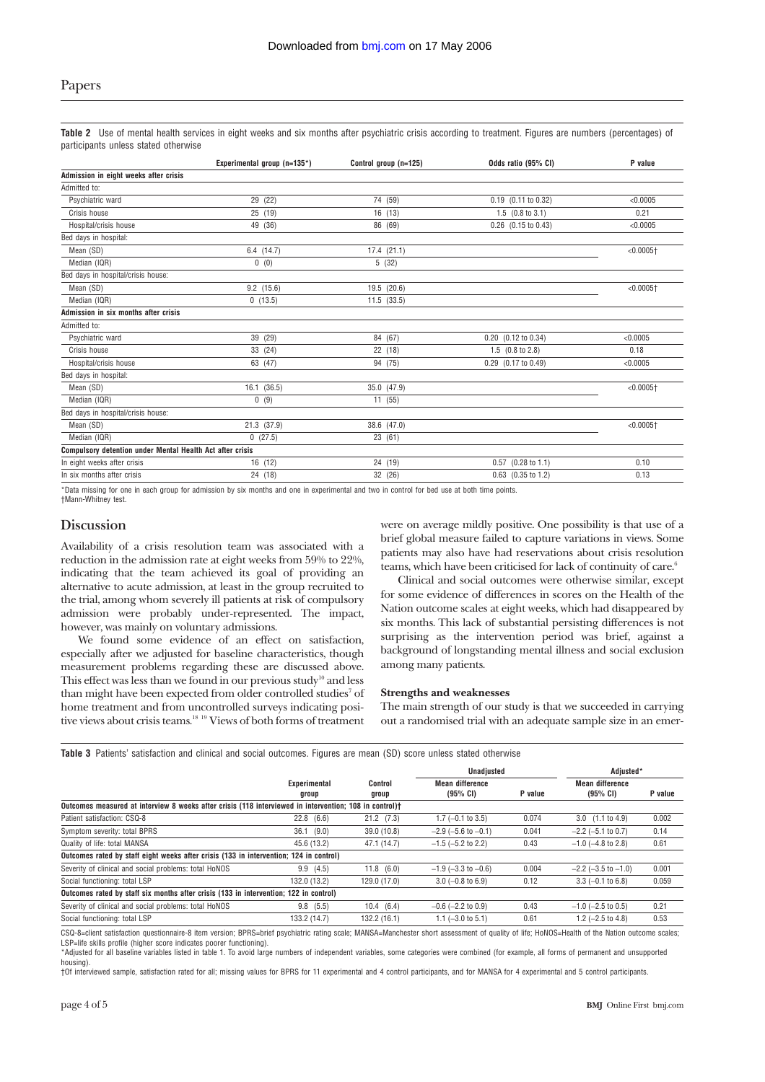#### Papers

Table 2 Use of mental health services in eight weeks and six months after psychiatric crisis according to treatment. Figures are numbers (percentages) of participants unless stated otherwise

|                                                           | Experimental group $(n=135^*)$ | Control group (n=125) | Odds ratio (95% CI)             | P value                 |
|-----------------------------------------------------------|--------------------------------|-----------------------|---------------------------------|-------------------------|
| Admission in eight weeks after crisis                     |                                |                       |                                 |                         |
| Admitted to:                                              |                                |                       |                                 |                         |
| Psychiatric ward                                          | 29 (22)                        | 74 (59)               | 0.19 (0.11 to 0.32)             | < 0.0005                |
| Crisis house                                              | 25 (19)                        | 16 (13)               | $1.5$ $(0.8 \text{ to } 3.1)$   | 0.21                    |
| Hospital/crisis house                                     | 49 (36)                        | 86 (69)               | 0.26 (0.15 to 0.43)             | < 0.0005                |
| Bed days in hospital:                                     |                                |                       |                                 |                         |
| Mean (SD)                                                 | 6.4 (14.7)                     | $17.4$ $(21.1)$       |                                 | $< 0.0005$ +            |
| Median (IQR)                                              | 0(0)                           | 5(32)                 |                                 |                         |
| Bed days in hospital/crisis house:                        |                                |                       |                                 |                         |
| Mean (SD)                                                 | $9.2$ (15.6)                   | 19.5 (20.6)           |                                 | $< 0.0005$ +            |
| Median (IQR)                                              | 0(13.5)                        | $11.5$ $(33.5)$       |                                 |                         |
| Admission in six months after crisis                      |                                |                       |                                 |                         |
| Admitted to:                                              |                                |                       |                                 |                         |
| Psychiatric ward                                          | 39 (29)                        | 84 (67)               | 0.20 (0.12 to 0.34)             | < 0.0005                |
| Crisis house                                              | 33 (24)                        | 22 (18)               | $1.5$ $(0.8 \text{ to } 2.8)$   | 0.18                    |
| Hospital/crisis house                                     | 63 (47)                        | 94 (75)               | 0.29 (0.17 to 0.49)             | < 0.0005                |
| Bed days in hospital:                                     |                                |                       |                                 |                         |
| Mean (SD)                                                 | $16.1$ (36.5)                  | 35.0 (47.9)           |                                 | $< 0.0005$ <sup>+</sup> |
| Median (IQR)                                              | 0(9)                           | 11 (55)               |                                 |                         |
| Bed days in hospital/crisis house:                        |                                |                       |                                 |                         |
| Mean (SD)                                                 | 21.3 (37.9)                    | 38.6 (47.0)           |                                 | $< 0.0005$ +            |
| Median (IQR)                                              | 0(27.5)                        | 23 (61)               |                                 |                         |
| Compulsory detention under Mental Health Act after crisis |                                |                       |                                 |                         |
| In eight weeks after crisis                               | 16 (12)                        | 24 (19)               | $0.57$ $(0.28 \text{ to } 1.1)$ | 0.10                    |
| In six months after crisis                                | 24 (18)                        | 32 (26)               | $0.63$ $(0.35 \text{ to } 1.2)$ | 0.13                    |

\*Data missing for one in each group for admission by six months and one in experimental and two in control for bed use at both time points. †Mann-Whitney test.

#### **Discussion**

Availability of a crisis resolution team was associated with a reduction in the admission rate at eight weeks from 59% to 22%, indicating that the team achieved its goal of providing an alternative to acute admission, at least in the group recruited to the trial, among whom severely ill patients at risk of compulsory admission were probably under-represented. The impact, however, was mainly on voluntary admissions.

We found some evidence of an effect on satisfaction, especially after we adjusted for baseline characteristics, though measurement problems regarding these are discussed above. This effect was less than we found in our previous study<sup>10</sup> and less than might have been expected from older controlled studies<sup>7</sup> of home treatment and from uncontrolled surveys indicating positive views about crisis teams.18 19 Views of both forms of treatment were on average mildly positive. One possibility is that use of a brief global measure failed to capture variations in views. Some patients may also have had reservations about crisis resolution teams, which have been criticised for lack of continuity of care.<sup>6</sup>

Clinical and social outcomes were otherwise similar, except for some evidence of differences in scores on the Health of the Nation outcome scales at eight weeks, which had disappeared by six months. This lack of substantial persisting differences is not surprising as the intervention period was brief, against a background of longstanding mental illness and social exclusion among many patients.

#### **Strengths and weaknesses**

The main strength of our study is that we succeeded in carrying out a randomised trial with an adequate sample size in an emer-

**Table 3** Patients' satisfaction and clinical and social outcomes. Figures are mean (SD) score unless stated otherwise

|                                                                                                        |                       |                  | <b>Unadjusted</b>                             |         | Adjusted*                                     |         |  |  |  |  |
|--------------------------------------------------------------------------------------------------------|-----------------------|------------------|-----------------------------------------------|---------|-----------------------------------------------|---------|--|--|--|--|
|                                                                                                        | Experimental<br>group | Control<br>group | <b>Mean difference</b><br>$(95\% \text{ CI})$ | P value | <b>Mean difference</b><br>$(95\% \text{ CI})$ | P value |  |  |  |  |
| Outcomes measured at interview 8 weeks after crisis (118 interviewed in intervention: 108 in control)+ |                       |                  |                                               |         |                                               |         |  |  |  |  |
| Patient satisfaction: CSQ-8                                                                            | $22.8$ (6.6)          | $21.2$ $(7.3)$   | $1.7 (-0.1 to 3.5)$                           | 0.074   | $3.0$ $(1.1 \text{ to } 4.9)$                 | 0.002   |  |  |  |  |
| Symptom severity: total BPRS                                                                           | (9.0)<br>36.1         | 39.0(10.8)       | $-2.9$ ( $-5.6$ to $-0.1$ )                   | 0.041   | $-2.2$ ( $-5.1$ to 0.7)                       | 0.14    |  |  |  |  |
| Quality of life: total MANSA                                                                           | 45.6 (13.2)           | 47.1 (14.7)      | $-1.5$ ( $-5.2$ to 2.2)                       | 0.43    | $-1.0$ ( $-4.8$ to 2.8)                       | 0.61    |  |  |  |  |
| Outcomes rated by staff eight weeks after crisis (133 in intervention; 124 in control)                 |                       |                  |                                               |         |                                               |         |  |  |  |  |
| Severity of clinical and social problems: total HoNOS                                                  | 9.9(4.5)              | $11.8$ (6.0)     | $-1.9$ ( $-3.3$ to $-0.6$ )                   | 0.004   | $-2.2$ ( $-3.5$ to $-1.0$ )                   | 0.001   |  |  |  |  |
| Social functioning: total LSP                                                                          | 132.0 (13.2)          | 129.0 (17.0)     | $3.0$ (-0.8 to 6.9)                           | 0.12    | $3.3$ (-0.1 to 6.8)                           | 0.059   |  |  |  |  |
| Outcomes rated by staff six months after crisis (133 in intervention; 122 in control)                  |                       |                  |                                               |         |                                               |         |  |  |  |  |
| Severity of clinical and social problems: total HoNOS                                                  | $9.8$ (5.5)           | 10.4(6.4)        | $-0.6$ ( $-2.2$ to 0.9)                       | 0.43    | $-1.0$ ( $-2.5$ to 0.5)                       | 0.21    |  |  |  |  |
| Social functioning: total LSP                                                                          | 133.2 (14.7)          | 132.2 (16.1)     | $1.1 (-3.0 to 5.1)$                           | 0.61    | 1.2 $(-2.5$ to 4.8)                           | 0.53    |  |  |  |  |

CSQ-8=client satisfaction questionnaire-8 item version; BPRS=brief psychiatric rating scale; MANSA=Manchester short assessment of quality of life; HoNOS=Health of the Nation outcome scales; LSP=life skills profile (higher score indicates poorer functioning).

\*Adjusted for all baseline variables listed in table 1. To avoid large numbers of independent variables, some categories were combined (for example, all forms of permanent and unsupported housing).

†Of interviewed sample, satisfaction rated for all; missing values for BPRS for 11 experimental and 4 control participants, and for MANSA for 4 experimental and 5 control participants.